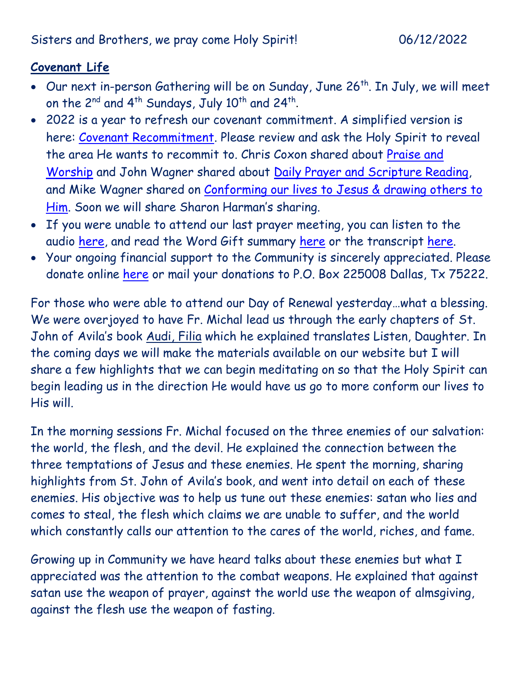## **Covenant Life**

- Our next in-person Gathering will be on Sunday, June 26<sup>th</sup>. In July, we will meet on the 2<sup>nd</sup> and 4<sup>th</sup> Sundays, July 10<sup>th</sup> and 24<sup>th</sup>.
- 2022 is a year to refresh our covenant commitment. A simplified version is here: [Covenant Recommitment.](https://godsdelight.org/2022-covenant-recommitment) Please review and ask the Holy Spirit to reveal the area He wants to recommit to. Chris Coxon shared about Praise and [Worship](https://godsdelight.s3.us-east-1.amazonaws.com/leaders/audio_video/teachings/PM2022410CoxonSharing.mp3) and John Wagner shared about [Daily Prayer and Scripture Reading,](https://godsdelight.s3.us-east-1.amazonaws.com/leaders/audio_video/teachings/PM20220424JWagnerSharing.mp3) and Mike Wagner shared on Conforming our lives to Jesus & drawing others to [Him](https://godsdelight.s3.us-east-1.amazonaws.com/leaders/audio_video/teachings/PM20220515MWagnerSharing.mp3). Soon we will share Sharon Harman's sharing.
- If you were unable to attend our last prayer meeting, you can listen to the audio [here,](https://godsdelight.org/gatherings-audio) and read the Word Gift summary [here](https://godsdelight.org/gathering-summaries) or the transcript [here.](https://godsdelight.org/gathering-transcipts)
- Your ongoing financial support to the Community is sincerely appreciated. Please donate online [here](http://www.godsdelight.org/) or mail your donations to P.O. Box 225008 Dallas, Tx 75222.

For those who were able to attend our Day of Renewal yesterday…what a blessing. We were overjoyed to have Fr. Michal lead us through the early chapters of St. John of Avila's book Audi, Filia which he explained translates Listen, Daughter. In the coming days we will make the materials available on our website but I will share a few highlights that we can begin meditating on so that the Holy Spirit can begin leading us in the direction He would have us go to more conform our lives to His will.

In the morning sessions Fr. Michal focused on the three enemies of our salvation: the world, the flesh, and the devil. He explained the connection between the three temptations of Jesus and these enemies. He spent the morning, sharing highlights from St. John of Avila's book, and went into detail on each of these enemies. His objective was to help us tune out these enemies: satan who lies and comes to steal, the flesh which claims we are unable to suffer, and the world which constantly calls our attention to the cares of the world, riches, and fame.

Growing up in Community we have heard talks about these enemies but what I appreciated was the attention to the combat weapons. He explained that against satan use the weapon of prayer, against the world use the weapon of almsgiving, against the flesh use the weapon of fasting.